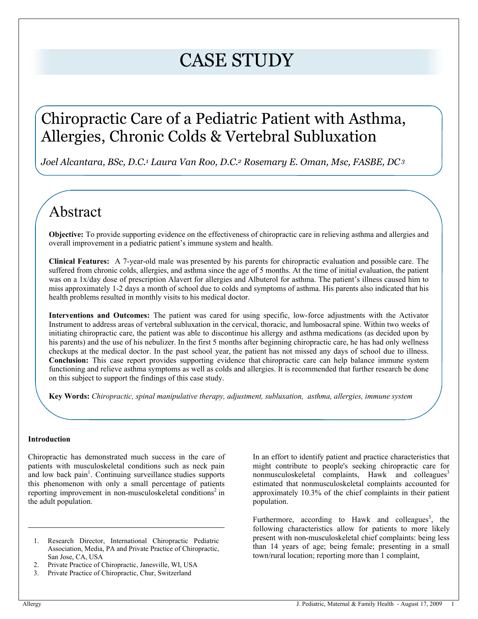# CASE STUDY

# Chiropractic Care of a Pediatric Patient with Asthma, Allergies, Chronic Colds & Vertebral Subluxation

*Joel Alcantara, BSc, D.C.<sup>1</sup> Laura Van Roo, D.C.2 Rosemary E. Oman, Msc, FASBE, DC<sup>3</sup>*

# Abstract

**Objective:** To provide supporting evidence on the effectiveness of chiropractic care in relieving asthma and allergies and overall improvement in a pediatric patient's immune system and health.

**Clinical Features:** A 7-year-old male was presented by his parents for chiropractic evaluation and possible care. The suffered from chronic colds, allergies, and asthma since the age of 5 months. At the time of initial evaluation, the patient was on a 1x/day dose of prescription Alavert for allergies and Albuterol for asthma. The patient's illness caused him to miss approximately 1-2 days a month of school due to colds and symptoms of asthma. His parents also indicated that his health problems resulted in monthly visits to his medical doctor.

**Interventions and Outcomes:** The patient was cared for using specific, low-force adjustments with the Activator Instrument to address areas of vertebral subluxation in the cervical, thoracic, and lumbosacral spine. Within two weeks of initiating chiropractic care, the patient was able to discontinue his allergy and asthma medications (as decided upon by his parents) and the use of his nebulizer. In the first 5 months after beginning chiropractic care, he has had only wellness checkups at the medical doctor. In the past school year, the patient has not missed any days of school due to illness. **Conclusion:** This case report provides supporting evidence that chiropractic care can help balance immune system functioning and relieve asthma symptoms as well as colds and allergies. It is recommended that further research be done on this subject to support the findings of this case study.

**Key Words:** *Chiropractic, spinal manipulative therapy, adjustment, subluxation, asthma, allergies, immune system*

#### **Introduction**

Chiropractic has demonstrated much success in the care of patients with musculoskeletal conditions such as neck pain and low back  $\text{pain}^1$ . Continuing surveillance studies supports this phenomenon with only a small percentage of patients reporting improvement in non-musculoskeletal conditions<sup>2</sup> in the adult population.

- 1. Research Director, International Chiropractic Pediatric Association, Media, PA and Private Practice of Chiropractic, San Jose, CA, USA
- 2. Private Practice of Chiropractic, Janesville, WI, USA
- 3. Private Practice of Chiropractic, Chur, Switzerland

In an effort to identify patient and practice characteristics that might contribute to people's seeking chiropractic care for nonmusculoskeletal complaints. Hawk and colleagues<sup>3</sup> estimated that nonmusculoskeletal complaints accounted for approximately 10.3% of the chief complaints in their patient population.

Furthermore, according to Hawk and colleagues<sup>3</sup>, the following characteristics allow for patients to more likely present with non-musculoskeletal chief complaints: being less than 14 years of age; being female; presenting in a small town/rural location; reporting more than 1 complaint,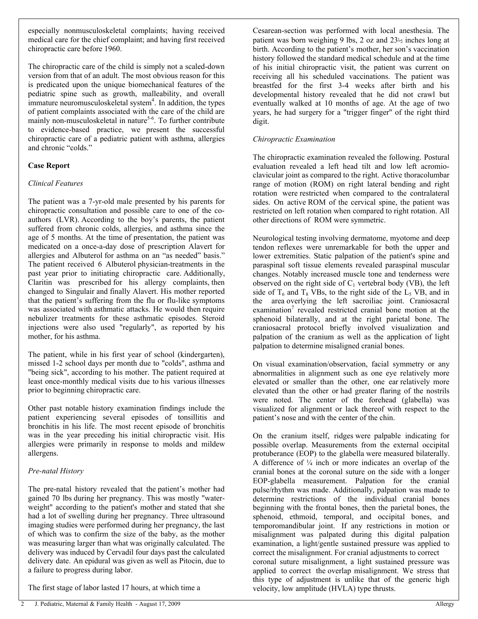especially nonmusculoskeletal complaints; having received medical care for the chief complaint; and having first received chiropractic care before 1960.

The chiropractic care of the child is simply not a scaled-down version from that of an adult. The most obvious reason for this is predicated upon the unique biomechanical features of the pediatric spine such as growth, malleability, and overall immature neuromusculoskeletal system $4$ . In addition, the types of patient complaints associated with the care of the child are mainly non-musculoskeletal in nature<sup>5-6</sup>. To further contribute to evidence-based practice, we present the successful chiropractic care of a pediatric patient with asthma, allergies and chronic "colds."

# **Case Report**

# *Clinical Features*

The patient was a 7-yr-old male presented by his parents for chiropractic consultation and possible care to one of the coauthors (LVR). According to the boy's parents, the patient suffered from chronic colds, allergies, and asthma since the age of 5 months. At the time of presentation, the patient was medicated on a once-a-day dose of prescription Alavert for allergies and Albuterol for asthma on an "as needed" basis." The patient received 6 Albuterol physician-treatments in the past year prior to initiating chiropractic care. Additionally, Claritin was prescribed for his allergy complaints, then changed to Singulair and finally Alavert. His mother reported that the patient's suffering from the flu or flu-like symptoms was associated with asthmatic attacks. He would then require nebulizer treatments for these asthmatic episodes. Steroid injections were also used "regularly", as reported by his mother, for his asthma.

The patient, while in his first year of school (kindergarten), missed 1-2 school days per month due to "colds", asthma and "being sick", according to his mother. The patient required at least once-monthly medical visits due to his various illnesses prior to beginning chiropractic care.

Other past notable history examination findings include the patient experiencing several episodes of tonsillitis and bronchitis in his life. The most recent episode of bronchitis was in the year preceding his initial chiropractic visit. His allergies were primarily in response to molds and mildew allergens.

# *Pre-natal History*

The pre-natal history revealed that the patient's mother had gained 70 lbs during her pregnancy. This was mostly "waterweight" according to the patient's mother and stated that she had a lot of swelling during her pregnancy. Three ultrasound imaging studies were performed during her pregnancy, the last of which was to confirm the size of the baby, as the mother was measuring larger than what was originally calculated. The delivery was induced by Cervadil four days past the calculated delivery date. An epidural was given as well as Pitocin, due to a failure to progress during labor.

The first stage of labor lasted 17 hours, at which time a

Cesarean-section was performed with local anesthesia. The patient was born weighing 9 lbs, 2 oz and 23½ inches long at birth. According to the patient's mother, her son's vaccination history followed the standard medical schedule and at the time of his initial chiropractic visit, the patient was current on receiving all his scheduled vaccinations. The patient was breastfed for the first 3-4 weeks after birth and his developmental history revealed that he did not crawl but eventually walked at 10 months of age. At the age of two years, he had surgery for a "trigger finger" of the right third digit.

# *Chiropractic Examination*

The chiropractic examination revealed the following. Postural evaluation revealed a left head tilt and low left acromioclavicular joint as compared to the right. Active thoracolumbar range of motion (ROM) on right lateral bending and right rotation were restricted when compared to the contralateral sides. On active ROM of the cervical spine, the patient was restricted on left rotation when compared to right rotation. All other directions of ROM were symmetric.

Neurological testing involving dermatome, myotome and deep tendon reflexes were unremarkable for both the upper and lower extremities. Static palpation of the patient's spine and paraspinal soft tissue elements revealed paraspinal muscular changes. Notably increased muscle tone and tenderness were observed on the right side of  $C_1$  vertebral body (VB), the left side of  $T_6$  and  $T_8$  VBs, to the right side of the  $L_5$  VB, and in the area overlying the left sacroiliac joint. Craniosacral examination<sup>7</sup> revealed restricted cranial bone motion at the sphenoid bilaterally, and at the right parietal bone. The craniosacral protocol briefly involved visualization and palpation of the cranium as well as the application of light palpation to determine misaligned cranial bones.

On visual examination/observation, facial symmetry or any abnormalities in alignment such as one eye relatively more elevated or smaller than the other, one ear relatively more elevated than the other or had greater flaring of the nostrils were noted. The center of the forehead (glabella) was visualized for alignment or lack thereof with respect to the patient's nose and with the center of the chin.

On the cranium itself, ridges were palpable indicating for possible overlap. Measurements from the external occipital protuberance (EOP) to the glabella were measured bilaterally. A difference of  $\frac{1}{4}$  inch or more indicates an overlap of the cranial bones at the coronal suture on the side with a longer EOP-glabella measurement. Palpation for the cranial pulse/rhythm was made. Additionally, palpation was made to determine restrictions of the individual cranial bones beginning with the frontal bones, then the parietal bones, the sphenoid, ethmoid, temporal, and occipital bones, and temporomandibular joint. If any restrictions in motion or misalignment was palpated during this digital palpation examination, a light/gentle sustained pressure was applied to correct the misalignment. For cranial adjustments to correct coronal suture misalignment, a light sustained pressure was

applied to correct the overlap misalignment. We stress that this type of adjustment is unlike that of the generic high velocity, low amplitude (HVLA) type thrusts.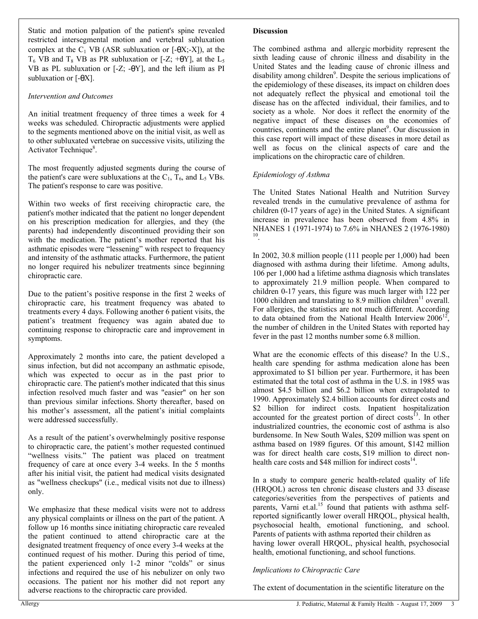Static and motion palpation of the patient's spine revealed restricted intersegmental motion and vertebral subluxation complex at the  $C_1$  VB (ASR subluxation or  $[-\theta X; -X]$ ), at the  $T_6$  VB and  $T_8$  VB as PR subluxation or [-Z; + $\theta$ Y], at the L<sub>5</sub> VB as PL subluxation or [-Z; -θY], and the left ilium as PI subluxation or  $[-\theta X]$ .

#### *Intervention and Outcomes*

An initial treatment frequency of three times a week for 4 weeks was scheduled. Chiropractic adjustments were applied to the segments mentioned above on the initial visit, as well as to other subluxated vertebrae on successive visits, utilizing the Activator Technique<sup>8</sup>.

The most frequently adjusted segments during the course of the patient's care were subluxations at the  $C_1$ ,  $T_6$ , and  $L_5$  VBs. The patient's response to care was positive.

Within two weeks of first receiving chiropractic care, the patient's mother indicated that the patient no longer dependent on his prescription medication for allergies, and they (the parents) had independently discontinued providing their son with the medication. The patient's mother reported that his asthmatic episodes were "lessening" with respect to frequency and intensity of the asthmatic attacks. Furthermore, the patient no longer required his nebulizer treatments since beginning chiropractic care.

Due to the patient's positive response in the first 2 weeks of chiropractic care, his treatment frequency was abated to treatments every 4 days. Following another 6 patient visits, the patient's treatment frequency was again abated due to continuing response to chiropractic care and improvement in symptoms.

Approximately 2 months into care, the patient developed a sinus infection, but did not accompany an asthmatic episode, which was expected to occur as in the past prior to chiropractic care. The patient's mother indicated that this sinus infection resolved much faster and was "easier" on her son than previous similar infections. Shorty thereafter, based on his mother's assessment, all the patient's initial complaints were addressed successfully.

As a result of the patient's overwhelmingly positive response to chiropractic care, the patient's mother requested continued "wellness visits." The patient was placed on treatment frequency of care at once every 3-4 weeks. In the 5 months after his initial visit, the patient had medical visits designated as "wellness checkups" (i.e., medical visits not due to illness) only.

We emphasize that these medical visits were not to address any physical complaints or illness on the part of the patient. A follow up 16 months since initiating chiropractic care revealed the patient continued to attend chiropractic care at the designated treatment frequency of once every 3-4 weeks at the continued request of his mother. During this period of time, the patient experienced only 1-2 minor "colds" or sinus infections and required the use of his nebulizer on only two occasions. The patient nor his mother did not report any adverse reactions to the chiropractic care provided.

#### **Discussion**

The combined asthma and allergic morbidity represent the sixth leading cause of chronic illness and disability in the United States and the leading cause of chronic illness and disability among children<sup>9</sup>. Despite the serious implications of the epidemiology of these diseases, its impact on children does not adequately reflect the physical and emotional toil the disease has on the affected individual, their families, and to society as a whole. Nor does it reflect the enormity of the negative impact of these diseases on the economies of countries, continents and the entire planet<sup>9</sup>. Our discussion in this case report will impact of these diseases in more detail as well as focus on the clinical aspects of care and the implications on the chiropractic care of children.

#### *Epidemiology of Asthma*

The United States National Health and Nutrition Survey revealed trends in the cumulative prevalence of asthma for children (0-17 years of age) in the United States. A significant increase in prevalence has been observed from 4.8% in NHANES 1 (1971-1974) to 7.6% in NHANES 2 (1976-1980) 10 .

In 2002, 30.8 million people (111 people per 1,000) had been diagnosed with asthma during their lifetime. Among adults, 106 per 1,000 had a lifetime asthma diagnosis which translates to approximately 21.9 million people. When compared to children 0-17 years, this figure was much larger with 122 per 1000 children and translating to 8.9 million children<sup>11</sup> overall. For allergies, the statistics are not much different. According to data obtained from the National Health Interview  $2006^{12}$ , the number of children in the United States with reported hay fever in the past 12 months number some 6.8 million.

What are the economic effects of this disease? In the U.S., health care spending for asthma medication alone has been approximated to \$1 billion per year. Furthermore, it has been estimated that the total cost of asthma in the U.S. in 1985 was almost \$4.5 billion and \$6.2 billion when extrapolated to 1990. Approximately \$2.4 billion accounts for direct costs and \$2 billion for indirect costs. Inpatient hospitalization accounted for the greatest portion of direct costs<sup>13</sup>. In other industrialized countries, the economic cost of asthma is also burdensome. In New South Wales, \$209 million was spent on asthma based on 1989 figures. Of this amount, \$142 million was for direct health care costs, \$19 million to direct nonhealth care costs and  $$48$  million for indirect costs<sup>14</sup>.

In a study to compare generic health-related quality of life (HRQOL) across ten chronic disease clusters and 33 disease categories/severities from the perspectives of patients and parents, Varni et.al.<sup>15</sup> found that patients with asthma selfreported significantly lower overall HRQOL, physical health, psychosocial health, emotional functioning, and school. Parents of patients with asthma reported their children as having lower overall HRQOL, physical health, psychosocial health, emotional functioning, and school functions.

#### *Implications to Chiropractic Care*

The extent of documentation in the scientific literature on the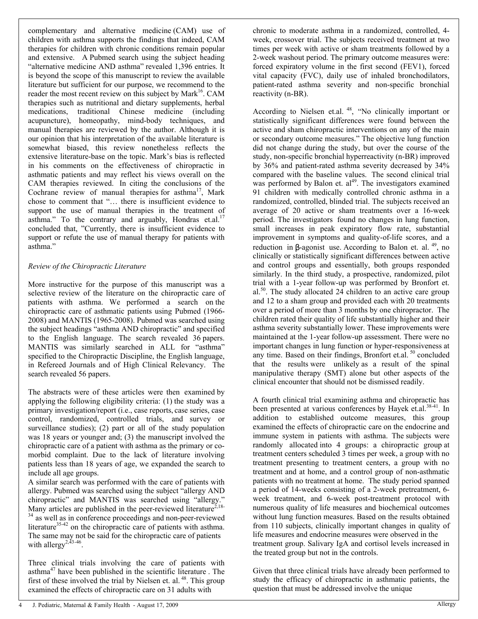complementary and alternative medicine (CAM) use of children with asthma supports the findings that indeed, CAM therapies for children with chronic conditions remain popular and extensive. A Pubmed search using the subject heading "alternative medicine AND asthma" revealed 1,396 entries. It is beyond the scope of this manuscript to review the available literature but sufficient for our purpose, we recommend to the reader the most recent review on this subject by Mark<sup>16</sup>. CAM therapies such as nutritional and dietary supplements, herbal medications, traditional Chinese medicine (including acupuncture), homeopathy, mind-body techniques, and manual therapies are reviewed by the author. Although it is our opinion that his interpretation of the available literature is somewhat biased, this review nonetheless reflects the extensive literature-base on the topic. Mark's bias is reflected in his comments on the effectiveness of chiropractic in asthmatic patients and may reflect his views overall on the CAM therapies reviewed. In citing the conclusions of the Cochrane review of manual therapies for asthma<sup>17</sup>, Mark chose to comment that "... there is insufficient evidence to support the use of manual therapies in the treatment of asthma." To the contrary and arguably, Hondras et.al. $17$ concluded that, "Currently, there is insufficient evidence to support or refute the use of manual therapy for patients with asthma.´

#### *Review of the Chiropractic Literature*

More instructive for the purpose of this manuscript was a selective review of the literature on the chiropractic care of patients with asthma. We performed a search on the chiropractic care of asthmatic patients using Pubmed (1966- 2008) and MANTIS (1965-2008). Pubmed was searched using the subject headings "asthma AND chiropractic" and specified to the English language. The search revealed 36 papers. MANTIS was similarly searched in ALL for "asthma" specified to the Chiropractic Discipline, the English language, in Refereed Journals and of High Clinical Relevancy. The search revealed 56 papers.

The abstracts were of these articles were then examined by applying the following eligibility criteria: (1) the study was a primary investigation/report (i.e., case reports, case series, case control, randomized, controlled trials, and survey or surveillance studies); (2) part or all of the study population was 18 years or younger and; (3) the manuscript involved the chiropractic care of a patient with asthma as the primary or comorbid complaint. Due to the lack of literature involving patients less than 18 years of age, we expanded the search to include all age groups.

A similar search was performed with the care of patients with allergy. Pubmed was searched using the subject "allergy AND chiropractic" and MANTIS was searched using "allergy." Many articles are published in the peer-reviewed literature<sup>2,18-</sup> as well as in conference proceedings and non-peer-reviewed literature<sup>35-42</sup> on the chiropractic care of patients with asthma. The same may not be said for the chiropractic care of patients with allergy<sup>2,43-46</sup>.

Three clinical trials involving the care of patients with asthma<sup>47</sup> have been published in the scientific literature . The first of these involved the trial by Nielsen et. al.<sup>48</sup>. This group examined the effects of chiropractic care on 31 adults with

chronic to moderate asthma in a randomized, controlled, 4 week, crossover trial. The subjects received treatment at two times per week with active or sham treatments followed by a 2-week washout period. The primary outcome measures were: forced expiratory volume in the first second (FEV1), forced vital capacity (FVC), daily use of inhaled bronchodilators, patient-rated asthma severity and non-specific bronchial reactivity (n-BR).

According to Nielsen et.al.  $48$ , "No clinically important or statistically significant differences were found between the active and sham chiropractic interventions on any of the main or secondary outcome measures." The objective lung function did not change during the study, but over the course of the study, non-specific bronchial hyperreactivity (n-BR) improved by 36% and patient-rated asthma severity decreased by 34% compared with the baseline values. The second clinical trial was performed by Balon et. al<sup>49</sup>. The investigators examined 91 children with medically controlled chronic asthma in a randomized, controlled, blinded trial. The subjects received an average of 20 active or sham treatments over a 16-week period. The investigators found no changes in lung function, small increases in peak expiratory flow rate, substantial improvement in symptoms and quality-of-life scores, and a reduction in β-agonist use. According to Balon et. al.  $49$ , no clinically or statistically significant differences between active and control groups and essentially, both groups responded similarly. In the third study, a prospective, randomized, pilot trial with a 1-year follow-up was performed by Bronfort et. al.<sup>50</sup>. The study allocated 24 children to an active care group and 12 to a sham group and provided each with 20 treatments over a period of more than 3 months by one chiropractor. The children rated their quality of life substantially higher and their asthma severity substantially lower. These improvements were maintained at the 1-year follow-up assessment. There were no important changes in lung function or hyper-responsiveness at any time. Based on their findings, Bronfort et.al.<sup>50</sup> concluded that the results were unlikely as a result of the spinal manipulative therapy (SMT) alone but other aspects of the clinical encounter that should not be dismissed readily.

A fourth clinical trial examining asthma and chiropractic has been presented at various conferences by Hayek et.al.<sup>38-41</sup>. In addition to established outcome measures, this group examined the effects of chiropractic care on the endocrine and immune system in patients with asthma. The subjects were randomly allocated into 4 groups: a chiropractic group at treatment centers scheduled 3 times per week, a group with no treatment presenting to treatment centers, a group with no treatment and at home, and a control group of non-asthmatic patients with no treatment at home. The study period spanned a period of 14-weeks consisting of a 2-week pretreatment, 6 week treatment, and 6-week post-treatment protocol with numerous quality of life measures and biochemical outcomes without lung function measures. Based on the results obtained from 110 subjects, clinically important changes in quality of life measures and endocrine measures were observed in the treatment group. Salivary IgA and cortisol levels increased in the treated group but not in the controls.

Given that three clinical trials have already been performed to study the efficacy of chiropractic in asthmatic patients, the question that must be addressed involve the unique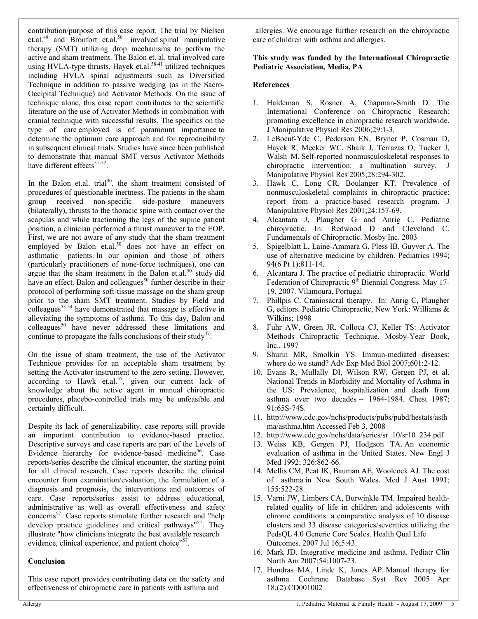contribution/purpose of this case report. The trial by Nielsen et.al. $^{48}$  and Bronfort et.al. $^{50}$  involved spinal manipulative therapy (SMT) utilizing drop mechanisms to perform the active and sham treatment. The Balon et. al. trial involved care using HVLA-type thrusts. Hayek et.al. $38-41$  utilized techniques including HVLA spinal adjustments such as Diversified Technique in addition to passive wedging (as in the Sacro-Occipital Technique) and Activator Methods. On the issue of technique alone, this case report contributes to the scientific literature on the use of Activator Methods in combination with cranial technique with successful results. The specifics on the type of care employed is of paramount importance to determine the optimum care approach and for reproducibility in subsequent clinical trials. Studies have since been published to demonstrate that manual SMT versus Activator Methods have different effects<sup>51-52</sup>.

In the Balon et.al. trial<sup>50</sup>, the sham treatment consisted of procedures of questionable inertness. The patients in the sham group received non-specific side-posture maneuvers (bilaterally), thrusts to the thoracic spine with contact over the scapulas and while tractioning the legs of the supine patient position, a clinician performed a thrust maneuver to the EOP. First, we are not aware of any study that the sham treatment employed by Balon et.al. $50$  does not have an effect on asthmatic patients. In our opinion and those of others (particularly practitioners of none-force techniques), one can argue that the sham treatment in the Balon et.al.<sup>50</sup> study did have an effect. Balon and colleagues<sup>50</sup> further describe in their protocol of performing soft-tissue massage on the sham group prior to the sham SMT treatment. Studies by Field and  $\frac{1}{2}$ colleagues<sup>53,54</sup> have demonstrated that massage is effective in alleviating the symptoms of asthma. To this day, Balon and colleagues<sup>50</sup> have never addressed these limitations and continue to propagate the falls conclusions of their study<sup>47</sup>.

On the issue of sham treatment, the use of the Activator Technique provides for an acceptable sham treatment by setting the Activator instrument to the zero setting. However, according to Hawk et.al.<sup>55</sup>, given our current lack of knowledge about the active agent in manual chiropractic procedures, placebo-controlled trials may be unfeasible and certainly difficult.

Despite its lack of generalizability, case reports still provide an important contribution to evidence-based practice. Descriptive surveys and case reports are part of the Levels of Evidence hierarchy for evidence-based medicine<sup>56</sup>. Case reports/series describe the clinical encounter, the starting point for all clinical research. Case reports describe the clinical encounter from examination/evaluation, the formulation of a diagnosis and prognosis, the interventions and outcomes of care. Case reports/series assist to address educational, administrative as well as overall effectiveness and safety concerns<sup>57</sup>. Case reports stimulate further research and "help" develop practice guidelines and critical pathways"<sup>57</sup>. They illustrate "how clinicians integrate the best available research evidence, clinical experience, and patient choice"<sup>57</sup>.

# **Conclusion**

This case report provides contributing data on the safety and effectiveness of chiropractic care in patients with asthma and

 allergies. We encourage further research on the chiropractic care of children with asthma and allergies.

#### **This study was funded by the International Chiropractic Pediatric Association, Media, PA**

#### **References**

- 1. Haldeman S, Rosner A, Chapman-Smith D. The International Conference on Chiropractic Research: promoting excellence in chiropractic research worldwide. J Manipulative Physiol Res 2006;29:1-3.
- 2. LeBoeuf-Yde C, Pederson EN, Bryner P, Cosman D, Hayek R, Meeker WC, Shaik J, Terrazas O, Tucker J, Walsh M. Self-reported nonmusculoskeletal responses to chiropractic intervention: a multination survey. Manipulative Physiol Res 2005;28:294-302.
- 3. Hawk C, Long CR, Boulanger KT. Prevalence of nonmusculoskeletal complaints in chiropractic practice: report from a practice-based research program. J Manipulative Physiol Res 2001;24:157-69.
- 4. Alcantara J, Plaugher G and Anrig C. Pediatric chiropractic. In: Redwood D and Cleveland C. Fundamentals of Chiropractic. Mosby Inc. 2003
- 5. Spigelblatt L, Laine-Ammara G, Pless IB, Guyver A. The use of alternative medicine by children. Pediatrics 1994; 94(6 Pt 1):811-14.
- 6. Alcantara J. The practice of pediatric chiropractic. World Federation of Chiropractic  $9<sup>th</sup>$  Biennial Congress. May 17-19, 2007. Vilamoura, Portugal
- 7. Phillpis C. Craniosacral therapy. In: Anrig C, Plaugher G, editors. Pediatric Chiropractic, New York: Williams & Wilkins; 1998
- 8. Fuhr AW, Green JR, Colloca CJ, Keller TS: Activator Methods Chiropractic Technique. Mosby-Year Book, Inc., 1997
- 9. Shurin MR, Smolkin YS. Immun-mediated diseases: where do we stand? Adv Exp Med Biol 2007;601:2-12.
- 10. Evans R, Mullally DI, Wilson RW, Gergen PJ, et al. National Trends in Morbidity and Mortality of Asthma in the US: Prevalence, hospitalization and death from asthma over two decades -- 1964-1984. Chest 1987; 91:65S-74S.
- 11. <http://www.cdc.gov/nchs/products/pubs/pubd/hestats/asth> ma/asthma.htm Accessed Feb 3, 2008
- 12. [http://www.cdc.gov/nchs/data/series/sr\\_10/sr10\\_234.pdf](http://www.cdc.gov/nchs/data/series/sr_10/sr10_234.pdf)
- 13. Weiss KB, Gergen PJ, Hodgson TA. An economic evaluation of asthma in the United States. New Engl J Med 1992; 326:862-66.
- 14. Mellis CM, Peat JK, Bauman AE, Woolcock AJ. The cost of asthma in New South Wales. Med J Aust 1991; 155:522-28.
- 15. Varni JW, Limbers CA, Burwinkle TM. Impaired healthrelated quality of life in children and adolescents with chronic conditions: a comparative analysis of 10 disease clusters and 33 disease categories/severities utilizing the PedsQL 4.0 Generic Core Scales. Health Qual Life Outcomes. 2007 Jul 16;5:43.
- 16. Mark JD. Integrative medicine and asthma. Pediatr Clin North Am 2007;54:1007-23.
- 17. Hondras MA, Linde K, Jones AP. Manual therapy for asthma. Cochrane Database Syst Rev 2005 Apr 18;(2):CD001002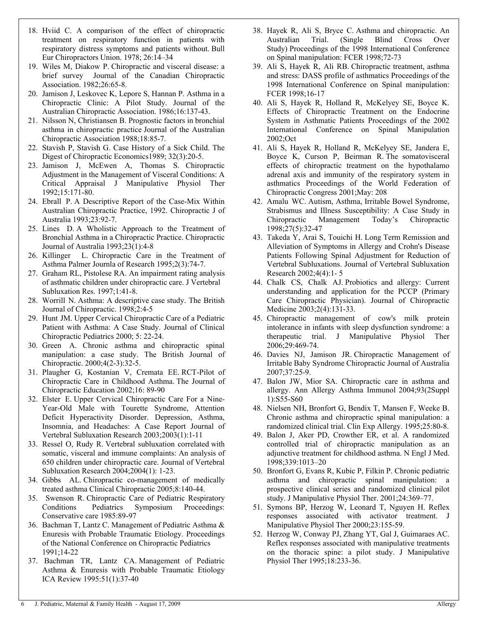- 18. Hviid C. A comparison of the effect of chiropractic treatment on respiratory function in patients with respiratory distress symptoms and patients without. Bull Eur Chiropractors Union. 1978; 26:14-34
- 19. Wiles M, Diakow P. Chiropractic and visceral disease: a brief survey Journal of the Canadian Chiropractic Association. 1982;26:65-8.
- 20. Jamison J, Leskovec K, Lepore S, Hannan P. Asthma in a Chiropractic Clinic: A Pilot Study. Journal of the Australian Chiropractic Association. 1986;16:137-43.
- 21. Nilsson N, Christiansen B. Prognostic factors in bronchial asthma in chiropractic practice Journal of the Australian Chiropractic Association 1988;18:85-7.
- 22. Stavish P, Stavish G. Case History of a Sick Child. The Digest of Chiropractic Economics1989; 32(3):20-5.
- 23. Jamison J, McEwen A, Thomas S. Chiropractic Adjustment in the Management of Visceral Conditions: A Critical Appraisal J Manipulative Physiol Ther 1992;15:171-80.
- 24. Ebrall P. A Descriptive Report of the Case-Mix Within Australian Chiropractic Practice, 1992. Chiropractic J of Australia 1993;23:92-7.
- 25. Lines D. A Wholistic Approach to the Treatment of Bronchial Asthma in a Chiropractic Practice. Chiropractic Journal of Australia 1993;23(1):4-8
- 26. Killinger L. Chiropractic Care in the Treatment of Asthma Palmer Journla of Research 1995;2(3):74-7.
- 27. Graham RL, Pistolese RA. An impairment rating analysis of asthmatic children under chiropractic care. J Vertebral Subluxation Res. 1997;1:41-8.
- 28. Worrill N. Asthma: A descriptive case study. The British Journal of Chiropractic. 1998;2:4-5
- 29. Hunt JM. Upper Cervical Chiropractic Care of a Pediatric Patient with Asthma: A Case Study. Journal of Clinical Chiropractic Pediatrics 2000; 5: 22-24.
- 30. Green A. Chronic asthma and chiropractic spinal manipulation: a case study. The British Journal of Chiropractic. 2000;4(2-3):32-5.
- 31. Plaugher G, Kostanian V, Cremata EE. RCT-Pilot of Chiropractic Care in Childhood Asthma. The Journal of Chiropractic Education 2002;16: 89-90
- 32. Elster E. Upper Cervical Chiropractic Care For a Nine-Year-Old Male with Tourette Syndrome, Attention Deficit Hyperactivity Disorder. Depression, Asthma, Insomnia, and Headaches: A Case Report Journal of Vertebral Subluxation Research 2003;2003(1):1-11
- 33. Ressel O, Rudy R. Vertebral subluxation correlated with somatic, visceral and immune complaints: An analysis of 650 children under chiropractic care. Journal of Vertebral Subluxation Research 2004;2004(1): 1-23.
- 34. Gibbs AL. Chiropractic co-management of medically treated asthma Clinical Chiropractic 2005;8:140-44.
- 35. Swenson R. Chiropractic Care of Pediatric Respiratory Conditions Pediatrics Symposium Proceedings: Conservative care 1985:89-97
- 36. Bachman T, Lantz C. Management of Pediatric Asthma & Enuresis with Probable Traumatic Etiology. Proceedings of the National Conference on Chiropractic Pediatrics 1991;14-22
- 37. Bachman TR, Lantz CA. Management of Pediatric Asthma & Enuresis with Probable Traumatic Etiology ICA Review 1995:51(1):37-40
- 38. Hayek R, Ali S, Bryce C. Asthma and chiropractic. An Australian Trial. (Single Blind Cross Over Study) Proceedings of the 1998 International Conference on Spinal manipulation: FCER 1998;72-73
- 39. Ali S, Hayek R, Ali RB. Chiropractic treatment, asthma and stress: DASS profile of asthmatics Proceedings of the 1998 International Conference on Spinal manipulation: FCER 1998;16-17
- 40. Ali S, Hayek R, Holland R, McKelyey SE, Boyce K. Effects of Chiropractic Treatment on the Endocrine System in Asthmatic Patients Proceedings of the 2002 International Conference on Spinal Manipulation 2002;Oct
- 41. Ali S, Hayek R, Holland R, McKelyey SE, Jandera E, Boyce K, Curson P, Beirman R. The somatovisceral effects of chiropractic treatment on the hypothalamo adrenal axis and immunity of the respiratory system in asthmatics Proceedings of the World Federation of Chiropractic Congress 2001;May: 208
- 42. Amalu WC. Autism, Asthma, Irritable Bowel Syndrome, Strabismus and Illness Susceptibility: A Case Study in Chiropractic Management Today's Chiropractic Chiropractic Management Today's Chiropractic 1998;27(5):32-47
- 43. Takeda Y, Arai S, Touichi H. Long Term Remission and Alleviation of Symptoms in Allergy and Crohn's Disease Patients Following Spinal Adjustment for Reduction of Vertebral Subluxations. Journal of Vertebral Subluxation Research 2002;4(4):1- 5
- 44. Chalk CS, Chalk AJ. Probiotics and allergy: Current understanding and application for the PCCP (Primary Care Chiropractic Physician). Journal of Chiropractic Medicine 2003;2(4):131-33.
- 45. Chiropractic management of cow's milk protein intolerance in infants with sleep dysfunction syndrome: a therapeutic trial. J Manipulative Physiol Ther 2006;29:469-74.
- 46. Davies NJ, Jamison JR. Chiropractic Management of Irritable Baby Syndrome Chiropractic Journal of Australia 2007;37:25-9.
- 47. Balon JW, Mior SA. Chiropractic care in asthma and allergy. Ann Allergy Asthma Immunol 2004;93(2Suppl 1):S55-S60
- 48. Nielsen NH, Bronfort G, Bendix T, Mansen F, Weeke B. Chronic asthma and chiropractic spinal manipulation: a randomized clinical trial. Clin Exp Allergy. 1995;25:80-8.
- 49. Balon J, Aker PD, Crowther ER, et al. A randomized controlled trial of chiropractic manipulation as an adjunctive treatment for childhood asthma. N Engl J Med. 1998;339:1013±20
- 50. Bronfort G, Evans R, Kubic P, Filkin P. Chronic pediatric asthma and chiropractic spinal manipulation: a prospective clinical series and randomized clinical pilot study. J Manipulative Physiol Ther. 2001;24:369-77.
- 51. Symons BP, Herzog W, Leonard T, Nguyen H. Reflex responses associated with activator treatment. J Manipulative Physiol Ther 2000;23:155-59.
- 52. Herzog W, Conway PJ, Zhang YT, Gal J, Guimaraes AC. Reflex responses associated with manipulative treatments on the thoracic spine: a pilot study. J Manipulative Physiol Ther 1995;18:233-36.